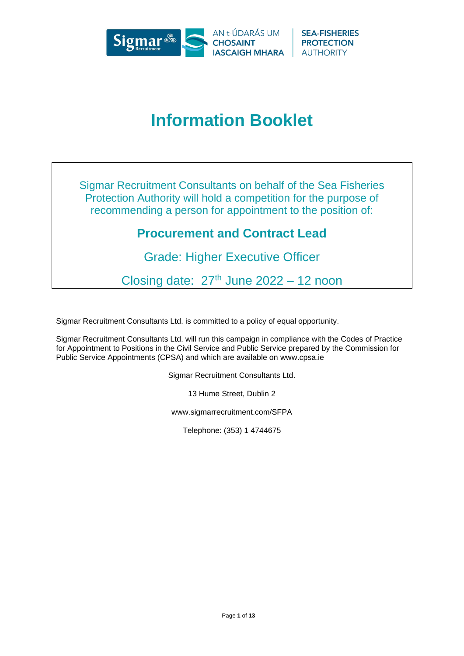

# **Information Booklet**

Sigmar Recruitment Consultants on behalf of the Sea Fisheries Protection Authority will hold a competition for the purpose of recommending a person for appointment to the position of:

# **Procurement and Contract Lead**

Grade: Higher Executive Officer

Closing date:  $27<sup>th</sup>$  June 2022 – 12 noon

Sigmar Recruitment Consultants Ltd. is committed to a policy of equal opportunity.

Sigmar Recruitment Consultants Ltd. will run this campaign in compliance with the Codes of Practice for Appointment to Positions in the Civil Service and Public Service prepared by the Commission for Public Service Appointments (CPSA) and which are available on www.cpsa.ie

Sigmar Recruitment Consultants Ltd.

13 Hume Street, Dublin 2

www.sigmarrecruitment.com/SFPA

Telephone: (353) 1 4744675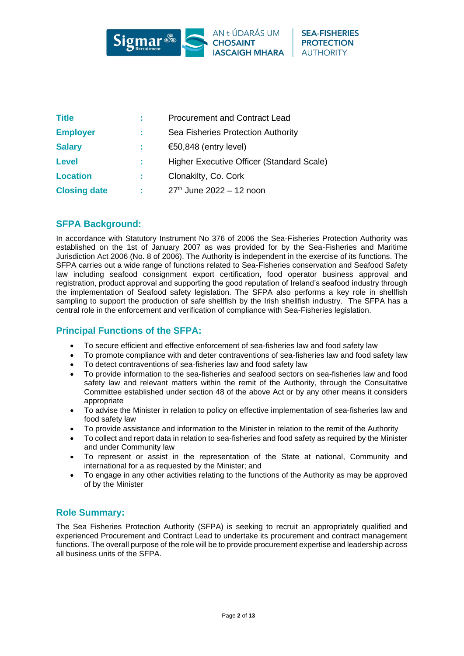

| <b>Title</b>        | <b>Procurement and Contract Lead</b>      |
|---------------------|-------------------------------------------|
| <b>Employer</b>     | Sea Fisheries Protection Authority        |
| <b>Salary</b>       | €50,848 (entry level)                     |
| <b>Level</b>        | Higher Executive Officer (Standard Scale) |
| <b>Location</b>     | Clonakilty, Co. Cork                      |
| <b>Closing date</b> | $27th$ June 2022 - 12 noon                |

# **SFPA Background:**

In accordance with Statutory Instrument No 376 of 2006 the Sea-Fisheries Protection Authority was established on the 1st of January 2007 as was provided for by the Sea-Fisheries and Maritime Jurisdiction Act 2006 (No. 8 of 2006). The Authority is independent in the exercise of its functions. The SFPA carries out a wide range of functions related to Sea-Fisheries conservation and Seafood Safety law including seafood consignment export certification, food operator business approval and registration, product approval and supporting the good reputation of Ireland's seafood industry through the implementation of Seafood safety legislation. The SFPA also performs a key role in shellfish sampling to support the production of safe shellfish by the Irish shellfish industry. The SFPA has a central role in the enforcement and verification of compliance with Sea-Fisheries legislation.

# **Principal Functions of the SFPA:**

- To secure efficient and effective enforcement of sea-fisheries law and food safety law
- To promote compliance with and deter contraventions of sea-fisheries law and food safety law
- To detect contraventions of sea-fisheries law and food safety law
- To provide information to the sea-fisheries and seafood sectors on sea-fisheries law and food safety law and relevant matters within the remit of the Authority, through the Consultative Committee established under section 48 of the above Act or by any other means it considers appropriate
- To advise the Minister in relation to policy on effective implementation of sea-fisheries law and food safety law
- To provide assistance and information to the Minister in relation to the remit of the Authority
- To collect and report data in relation to sea-fisheries and food safety as required by the Minister and under Community law
- To represent or assist in the representation of the State at national, Community and international for a as requested by the Minister; and
- To engage in any other activities relating to the functions of the Authority as may be approved of by the Minister

# **Role Summary:**

The Sea Fisheries Protection Authority (SFPA) is seeking to recruit an appropriately qualified and experienced Procurement and Contract Lead to undertake its procurement and contract management functions. The overall purpose of the role will be to provide procurement expertise and leadership across all business units of the SFPA.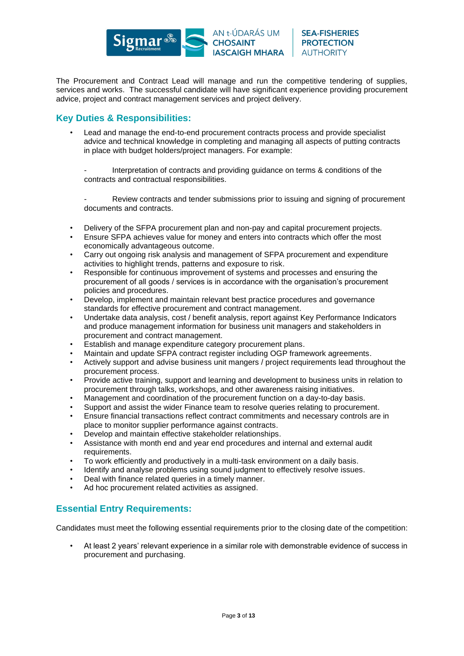

The Procurement and Contract Lead will manage and run the competitive tendering of supplies, services and works. The successful candidate will have significant experience providing procurement advice, project and contract management services and project delivery.

# **Key Duties & Responsibilities:**

• Lead and manage the end-to-end procurement contracts process and provide specialist advice and technical knowledge in completing and managing all aspects of putting contracts in place with budget holders/project managers. For example:

Interpretation of contracts and providing guidance on terms & conditions of the contracts and contractual responsibilities.

Review contracts and tender submissions prior to issuing and signing of procurement documents and contracts.

- Delivery of the SFPA procurement plan and non-pay and capital procurement projects.
- Ensure SFPA achieves value for money and enters into contracts which offer the most economically advantageous outcome.
- Carry out ongoing risk analysis and management of SFPA procurement and expenditure activities to highlight trends, patterns and exposure to risk.
- Responsible for continuous improvement of systems and processes and ensuring the procurement of all goods / services is in accordance with the organisation's procurement policies and procedures.
- Develop, implement and maintain relevant best practice procedures and governance standards for effective procurement and contract management.
- Undertake data analysis, cost / benefit analysis, report against Key Performance Indicators and produce management information for business unit managers and stakeholders in procurement and contract management.
- Establish and manage expenditure category procurement plans.
- Maintain and update SFPA contract register including OGP framework agreements.
- Actively support and advise business unit mangers / project requirements lead throughout the procurement process.
- Provide active training, support and learning and development to business units in relation to procurement through talks, workshops, and other awareness raising initiatives.
- Management and coordination of the procurement function on a day-to-day basis.
- Support and assist the wider Finance team to resolve queries relating to procurement.
- Ensure financial transactions reflect contract commitments and necessary controls are in place to monitor supplier performance against contracts.
- Develop and maintain effective stakeholder relationships.
- Assistance with month end and year end procedures and internal and external audit requirements.
- To work efficiently and productively in a multi-task environment on a daily basis.
- Identify and analyse problems using sound judgment to effectively resolve issues.
- Deal with finance related queries in a timely manner.
- Ad hoc procurement related activities as assigned.

# **Essential Entry Requirements:**

Candidates must meet the following essential requirements prior to the closing date of the competition:

• At least 2 years' relevant experience in a similar role with demonstrable evidence of success in procurement and purchasing.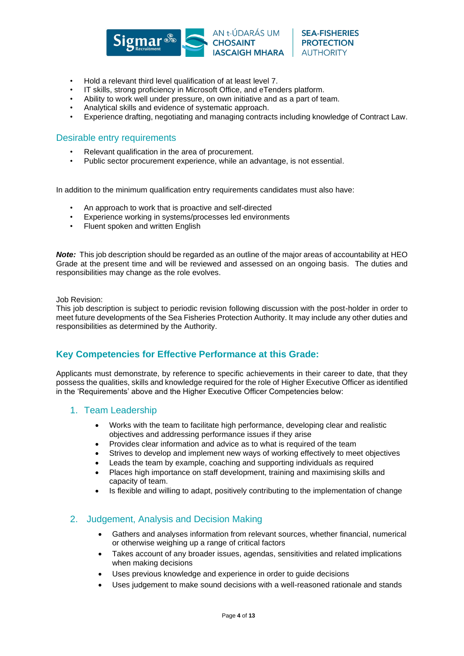

- Hold a relevant third level qualification of at least level 7.
- IT skills, strong proficiency in Microsoft Office, and eTenders platform.
- Ability to work well under pressure, on own initiative and as a part of team.
- Analytical skills and evidence of systematic approach.
- Experience drafting, negotiating and managing contracts including knowledge of Contract Law.

#### Desirable entry requirements

- Relevant qualification in the area of procurement.
- Public sector procurement experience, while an advantage, is not essential.

In addition to the minimum qualification entry requirements candidates must also have:

- An approach to work that is proactive and self-directed
- Experience working in systems/processes led environments
- Fluent spoken and written English

*Note:* This job description should be regarded as an outline of the major areas of accountability at HEO Grade at the present time and will be reviewed and assessed on an ongoing basis. The duties and responsibilities may change as the role evolves.

Job Revision:

This job description is subject to periodic revision following discussion with the post-holder in order to meet future developments of the Sea Fisheries Protection Authority. It may include any other duties and responsibilities as determined by the Authority.

# **Key Competencies for Effective Performance at this Grade:**

Applicants must demonstrate, by reference to specific achievements in their career to date, that they possess the qualities, skills and knowledge required for the role of Higher Executive Officer as identified in the 'Requirements' above and the Higher Executive Officer Competencies below:

#### 1. Team Leadership

- Works with the team to facilitate high performance, developing clear and realistic objectives and addressing performance issues if they arise
- Provides clear information and advice as to what is required of the team
- Strives to develop and implement new ways of working effectively to meet objectives
- Leads the team by example, coaching and supporting individuals as required
- Places high importance on staff development, training and maximising skills and capacity of team.
- Is flexible and willing to adapt, positively contributing to the implementation of change

#### 2. Judgement, Analysis and Decision Making

- Gathers and analyses information from relevant sources, whether financial, numerical or otherwise weighing up a range of critical factors
- Takes account of any broader issues, agendas, sensitivities and related implications when making decisions
- Uses previous knowledge and experience in order to guide decisions
- Uses judgement to make sound decisions with a well-reasoned rationale and stands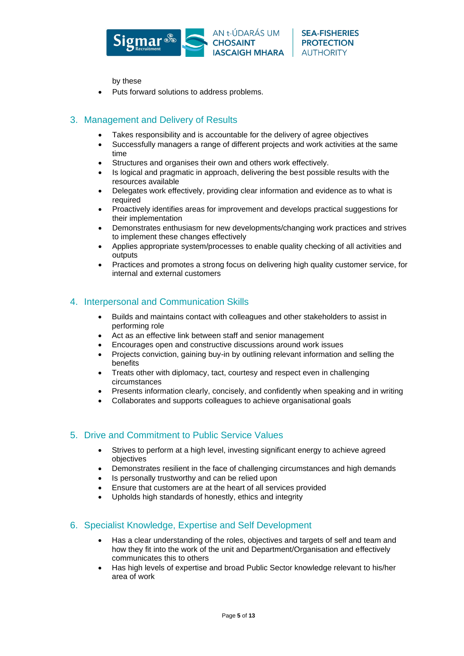

by these

• Puts forward solutions to address problems.

# 3. Management and Delivery of Results

- Takes responsibility and is accountable for the delivery of agree objectives
- Successfully managers a range of different projects and work activities at the same time
- Structures and organises their own and others work effectively.
- Is logical and pragmatic in approach, delivering the best possible results with the resources available
- Delegates work effectively, providing clear information and evidence as to what is required
- Proactively identifies areas for improvement and develops practical suggestions for their implementation
- Demonstrates enthusiasm for new developments/changing work practices and strives to implement these changes effectively
- Applies appropriate system/processes to enable quality checking of all activities and outputs
- Practices and promotes a strong focus on delivering high quality customer service, for internal and external customers

# 4. Interpersonal and Communication Skills

- Builds and maintains contact with colleagues and other stakeholders to assist in performing role
- Act as an effective link between staff and senior management
- Encourages open and constructive discussions around work issues
- Projects conviction, gaining buy-in by outlining relevant information and selling the benefits
- Treats other with diplomacy, tact, courtesy and respect even in challenging circumstances
- Presents information clearly, concisely, and confidently when speaking and in writing
- Collaborates and supports colleagues to achieve organisational goals

#### 5. Drive and Commitment to Public Service Values

- Strives to perform at a high level, investing significant energy to achieve agreed objectives
- Demonstrates resilient in the face of challenging circumstances and high demands
- Is personally trustworthy and can be relied upon
- Ensure that customers are at the heart of all services provided
- Upholds high standards of honestly, ethics and integrity

# 6. Specialist Knowledge, Expertise and Self Development

- Has a clear understanding of the roles, objectives and targets of self and team and how they fit into the work of the unit and Department/Organisation and effectively communicates this to others
- Has high levels of expertise and broad Public Sector knowledge relevant to his/her area of work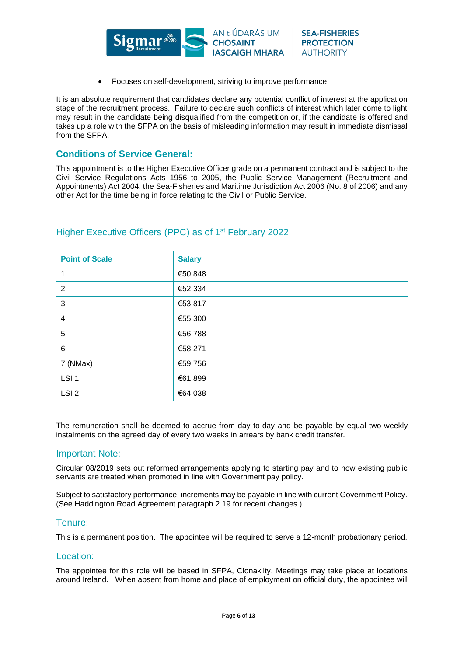

**SEA-FISHERIES** 

**PROTECTION** 

**AUTHORITY** 

• Focuses on self-development, striving to improve performance

It is an absolute requirement that candidates declare any potential conflict of interest at the application stage of the recruitment process. Failure to declare such conflicts of interest which later come to light may result in the candidate being disqualified from the competition or, if the candidate is offered and takes up a role with the SFPA on the basis of misleading information may result in immediate dismissal from the SFPA

#### **Conditions of Service General:**

This appointment is to the Higher Executive Officer grade on a permanent contract and is subject to the Civil Service Regulations Acts 1956 to 2005, the Public Service Management (Recruitment and Appointments) Act 2004, the Sea-Fisheries and Maritime Jurisdiction Act 2006 (No. 8 of 2006) and any other Act for the time being in force relating to the Civil or Public Service.

| <b>Point of Scale</b> | <b>Salary</b> |
|-----------------------|---------------|
|                       | €50,848       |
| $\overline{2}$        | €52,334       |
| 3                     | €53,817       |
| 4                     | €55,300       |
| 5                     | €56,788       |
| 6                     | €58,271       |
| 7 (NMax)              | €59,756       |
| LSI <sub>1</sub>      | €61,899       |
| LSI <sub>2</sub>      | €64.038       |

# Higher Executive Officers (PPC) as of 1st February 2022

The remuneration shall be deemed to accrue from day-to-day and be payable by equal two-weekly instalments on the agreed day of every two weeks in arrears by bank credit transfer.

#### Important Note:

Circular 08/2019 sets out reformed arrangements applying to starting pay and to how existing public servants are treated when promoted in line with Government pay policy.

Subject to satisfactory performance, increments may be payable in line with current Government Policy. (See Haddington Road Agreement paragraph 2.19 for recent changes.)

#### Tenure:

This is a permanent position. The appointee will be required to serve a 12-month probationary period.

#### Location:

The appointee for this role will be based in SFPA, Clonakilty. Meetings may take place at locations around Ireland. When absent from home and place of employment on official duty, the appointee will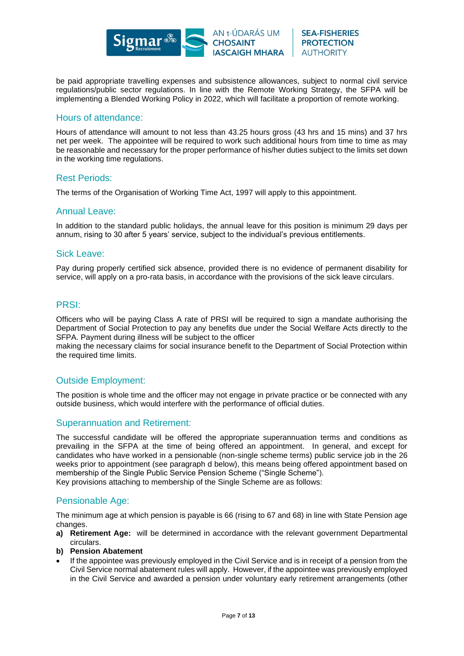

be paid appropriate travelling expenses and subsistence allowances, subject to normal civil service regulations/public sector regulations. In line with the Remote Working Strategy, the SFPA will be implementing a Blended Working Policy in 2022, which will facilitate a proportion of remote working.

#### Hours of attendance:

Hours of attendance will amount to not less than 43.25 hours gross (43 hrs and 15 mins) and 37 hrs net per week. The appointee will be required to work such additional hours from time to time as may be reasonable and necessary for the proper performance of his/her duties subject to the limits set down in the working time regulations.

#### Rest Periods:

The terms of the Organisation of Working Time Act, 1997 will apply to this appointment.

#### Annual Leave:

In addition to the standard public holidays, the annual leave for this position is minimum 29 days per annum, rising to 30 after 5 years' service, subject to the individual's previous entitlements.

#### Sick Leave:

Pay during properly certified sick absence, provided there is no evidence of permanent disability for service, will apply on a pro-rata basis, in accordance with the provisions of the sick leave circulars.

#### PRSI:

Officers who will be paying Class A rate of PRSI will be required to sign a mandate authorising the Department of Social Protection to pay any benefits due under the Social Welfare Acts directly to the SFPA. Payment during illness will be subject to the officer

making the necessary claims for social insurance benefit to the Department of Social Protection within the required time limits.

#### Outside Employment:

The position is whole time and the officer may not engage in private practice or be connected with any outside business, which would interfere with the performance of official duties.

#### Superannuation and Retirement:

The successful candidate will be offered the appropriate superannuation terms and conditions as prevailing in the SFPA at the time of being offered an appointment. In general, and except for candidates who have worked in a pensionable (non-single scheme terms) public service job in the 26 weeks prior to appointment (see paragraph d below), this means being offered appointment based on membership of the Single Public Service Pension Scheme ("Single Scheme"). Key provisions attaching to membership of the Single Scheme are as follows:

Pensionable Age:

The minimum age at which pension is payable is 66 (rising to 67 and 68) in line with State Pension age changes.

- **a) Retirement Age:** will be determined in accordance with the relevant government Departmental circulars.
- **b) Pension Abatement**
- If the appointee was previously employed in the Civil Service and is in receipt of a pension from the Civil Service normal abatement rules will apply. However, if the appointee was previously employed in the Civil Service and awarded a pension under voluntary early retirement arrangements (other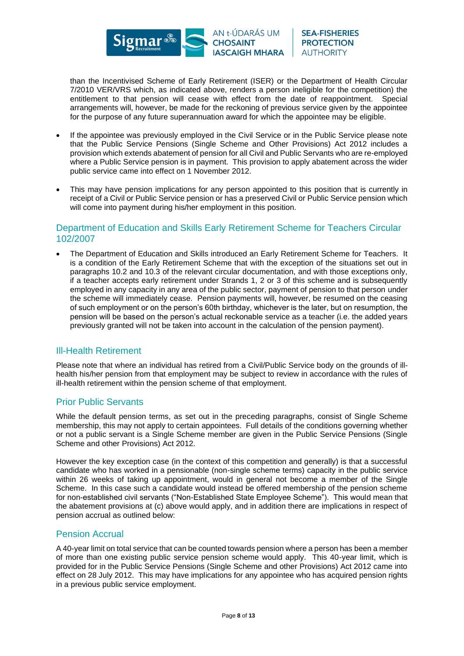

**SEA-FISHERIES PROTECTION AUTHORITY** 

than the Incentivised Scheme of Early Retirement (ISER) or the Department of Health Circular 7/2010 VER/VRS which, as indicated above, renders a person ineligible for the competition) the entitlement to that pension will cease with effect from the date of reappointment. Special arrangements will, however, be made for the reckoning of previous service given by the appointee for the purpose of any future superannuation award for which the appointee may be eligible.

- If the appointee was previously employed in the Civil Service or in the Public Service please note that the Public Service Pensions (Single Scheme and Other Provisions) Act 2012 includes a provision which extends abatement of pension for all Civil and Public Servants who are re-employed where a Public Service pension is in payment. This provision to apply abatement across the wider public service came into effect on 1 November 2012.
- This may have pension implications for any person appointed to this position that is currently in receipt of a Civil or Public Service pension or has a preserved Civil or Public Service pension which will come into payment during his/her employment in this position.

#### Department of Education and Skills Early Retirement Scheme for Teachers Circular 102/2007

• The Department of Education and Skills introduced an Early Retirement Scheme for Teachers. It is a condition of the Early Retirement Scheme that with the exception of the situations set out in paragraphs 10.2 and 10.3 of the relevant circular documentation, and with those exceptions only, if a teacher accepts early retirement under Strands 1, 2 or 3 of this scheme and is subsequently employed in any capacity in any area of the public sector, payment of pension to that person under the scheme will immediately cease. Pension payments will, however, be resumed on the ceasing of such employment or on the person's 60th birthday, whichever is the later, but on resumption, the pension will be based on the person's actual reckonable service as a teacher (i.e. the added years previously granted will not be taken into account in the calculation of the pension payment).

# Ill-Health Retirement

Please note that where an individual has retired from a Civil/Public Service body on the grounds of illhealth his/her pension from that employment may be subject to review in accordance with the rules of ill-health retirement within the pension scheme of that employment.

# Prior Public Servants

While the default pension terms, as set out in the preceding paragraphs, consist of Single Scheme membership, this may not apply to certain appointees. Full details of the conditions governing whether or not a public servant is a Single Scheme member are given in the Public Service Pensions (Single Scheme and other Provisions) Act 2012.

However the key exception case (in the context of this competition and generally) is that a successful candidate who has worked in a pensionable (non-single scheme terms) capacity in the public service within 26 weeks of taking up appointment, would in general not become a member of the Single Scheme. In this case such a candidate would instead be offered membership of the pension scheme for non-established civil servants ("Non-Established State Employee Scheme"). This would mean that the abatement provisions at (c) above would apply, and in addition there are implications in respect of pension accrual as outlined below:

#### Pension Accrual

A 40-year limit on total service that can be counted towards pension where a person has been a member of more than one existing public service pension scheme would apply. This 40-year limit, which is provided for in the Public Service Pensions (Single Scheme and other Provisions) Act 2012 came into effect on 28 July 2012. This may have implications for any appointee who has acquired pension rights in a previous public service employment.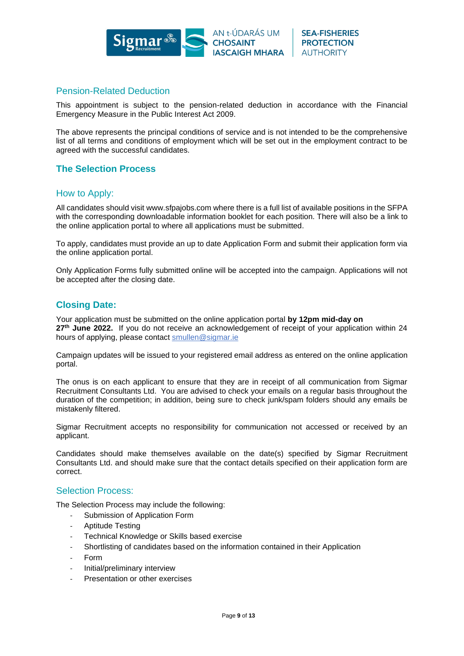

# Pension-Related Deduction

This appointment is subject to the pension-related deduction in accordance with the Financial Emergency Measure in the Public Interest Act 2009.

The above represents the principal conditions of service and is not intended to be the comprehensive list of all terms and conditions of employment which will be set out in the employment contract to be agreed with the successful candidates.

# **The Selection Process**

#### How to Apply:

All candidates should visit www.sfpajobs.com where there is a full list of available positions in the SFPA with the corresponding downloadable information booklet for each position. There will also be a link to the online application portal to where all applications must be submitted.

To apply, candidates must provide an up to date Application Form and submit their application form via the online application portal.

Only Application Forms fully submitted online will be accepted into the campaign. Applications will not be accepted after the closing date.

#### **Closing Date:**

Your application must be submitted on the online application portal **by 12pm mid-day on 27th June 2022.** If you do not receive an acknowledgement of receipt of your application within 24 hours of applying, please contact [smullen@sigmar.ie](mailto:smullen@sigmar.ie)

Campaign updates will be issued to your registered email address as entered on the online application portal.

The onus is on each applicant to ensure that they are in receipt of all communication from Sigmar Recruitment Consultants Ltd. You are advised to check your emails on a regular basis throughout the duration of the competition; in addition, being sure to check junk/spam folders should any emails be mistakenly filtered.

Sigmar Recruitment accepts no responsibility for communication not accessed or received by an applicant.

Candidates should make themselves available on the date(s) specified by Sigmar Recruitment Consultants Ltd. and should make sure that the contact details specified on their application form are correct.

#### Selection Process:

The Selection Process may include the following:

- Submission of Application Form
- Aptitude Testing
- Technical Knowledge or Skills based exercise
- Shortlisting of candidates based on the information contained in their Application
- Form
- Initial/preliminary interview
- Presentation or other exercises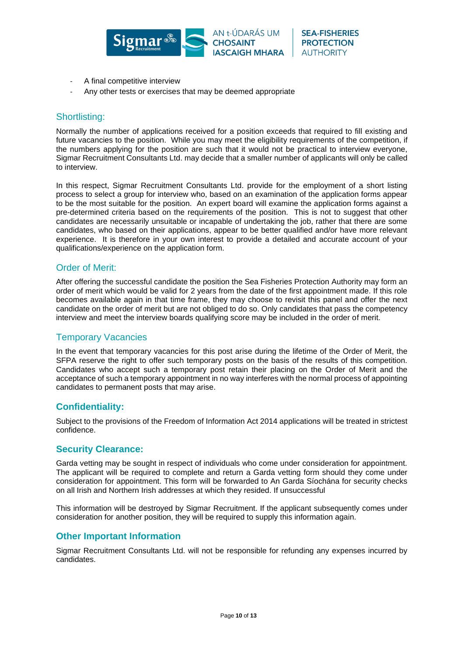

- A final competitive interview
- Any other tests or exercises that may be deemed appropriate

# Shortlisting:

Normally the number of applications received for a position exceeds that required to fill existing and future vacancies to the position. While you may meet the eligibility requirements of the competition, if the numbers applying for the position are such that it would not be practical to interview everyone, Sigmar Recruitment Consultants Ltd. may decide that a smaller number of applicants will only be called to interview.

In this respect, Sigmar Recruitment Consultants Ltd. provide for the employment of a short listing process to select a group for interview who, based on an examination of the application forms appear to be the most suitable for the position. An expert board will examine the application forms against a pre-determined criteria based on the requirements of the position. This is not to suggest that other candidates are necessarily unsuitable or incapable of undertaking the job, rather that there are some candidates, who based on their applications, appear to be better qualified and/or have more relevant experience. It is therefore in your own interest to provide a detailed and accurate account of your qualifications/experience on the application form.

# Order of Merit:

After offering the successful candidate the position the Sea Fisheries Protection Authority may form an order of merit which would be valid for 2 years from the date of the first appointment made. If this role becomes available again in that time frame, they may choose to revisit this panel and offer the next candidate on the order of merit but are not obliged to do so. Only candidates that pass the competency interview and meet the interview boards qualifying score may be included in the order of merit.

# Temporary Vacancies

In the event that temporary vacancies for this post arise during the lifetime of the Order of Merit, the SFPA reserve the right to offer such temporary posts on the basis of the results of this competition. Candidates who accept such a temporary post retain their placing on the Order of Merit and the acceptance of such a temporary appointment in no way interferes with the normal process of appointing candidates to permanent posts that may arise.

# **Confidentiality:**

Subject to the provisions of the Freedom of Information Act 2014 applications will be treated in strictest confidence.

#### **Security Clearance:**

Garda vetting may be sought in respect of individuals who come under consideration for appointment. The applicant will be required to complete and return a Garda vetting form should they come under consideration for appointment. This form will be forwarded to An Garda Síochána for security checks on all Irish and Northern Irish addresses at which they resided. If unsuccessful

This information will be destroyed by Sigmar Recruitment. If the applicant subsequently comes under consideration for another position, they will be required to supply this information again.

# **Other Important Information**

Sigmar Recruitment Consultants Ltd. will not be responsible for refunding any expenses incurred by candidates.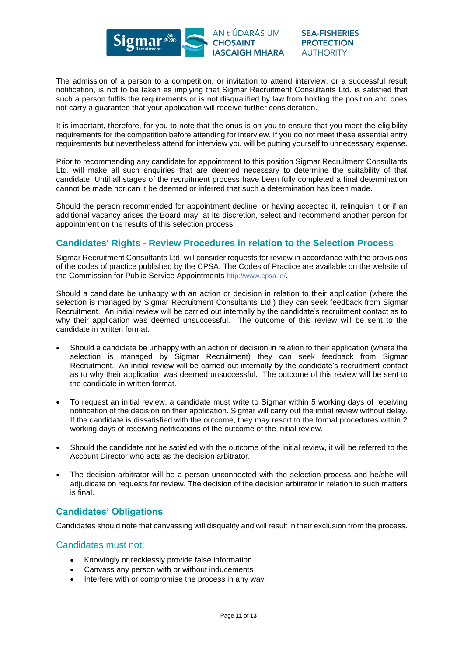

The admission of a person to a competition, or invitation to attend interview, or a successful result notification, is not to be taken as implying that Sigmar Recruitment Consultants Ltd. is satisfied that such a person fulfils the requirements or is not disqualified by law from holding the position and does not carry a guarantee that your application will receive further consideration.

It is important, therefore, for you to note that the onus is on you to ensure that you meet the eligibility requirements for the competition before attending for interview. If you do not meet these essential entry requirements but nevertheless attend for interview you will be putting yourself to unnecessary expense.

Prior to recommending any candidate for appointment to this position Sigmar Recruitment Consultants Ltd. will make all such enquiries that are deemed necessary to determine the suitability of that candidate. Until all stages of the recruitment process have been fully completed a final determination cannot be made nor can it be deemed or inferred that such a determination has been made.

Should the person recommended for appointment decline, or having accepted it, relinquish it or if an additional vacancy arises the Board may, at its discretion, select and recommend another person for appointment on the results of this selection process

# **Candidates' Rights - Review Procedures in relation to the Selection Process**

Sigmar Recruitment Consultants Ltd. will consider requests for review in accordance with the provisions of the codes of practice published by the CPSA. The Codes of Practice are available on the website of the Commission for Public Service Appointments <http://www.cpsa.ie/>.

Should a candidate be unhappy with an action or decision in relation to their application (where the selection is managed by Sigmar Recruitment Consultants Ltd.) they can seek feedback from Sigmar Recruitment. An initial review will be carried out internally by the candidate's recruitment contact as to why their application was deemed unsuccessful. The outcome of this review will be sent to the candidate in written format.

- Should a candidate be unhappy with an action or decision in relation to their application (where the selection is managed by Sigmar Recruitment) they can seek feedback from Sigmar Recruitment. An initial review will be carried out internally by the candidate's recruitment contact as to why their application was deemed unsuccessful. The outcome of this review will be sent to the candidate in written format.
- To request an initial review, a candidate must write to Sigmar within 5 working days of receiving notification of the decision on their application. Sigmar will carry out the initial review without delay. If the candidate is dissatisfied with the outcome, they may resort to the formal procedures within 2 working days of receiving notifications of the outcome of the initial review.
- Should the candidate not be satisfied with the outcome of the initial review, it will be referred to the Account Director who acts as the decision arbitrator.
- The decision arbitrator will be a person unconnected with the selection process and he/she will adjudicate on requests for review. The decision of the decision arbitrator in relation to such matters is final.

# **Candidates' Obligations**

Candidates should note that canvassing will disqualify and will result in their exclusion from the process.

#### Candidates must not:

- Knowingly or recklessly provide false information
- Canvass any person with or without inducements
- Interfere with or compromise the process in any way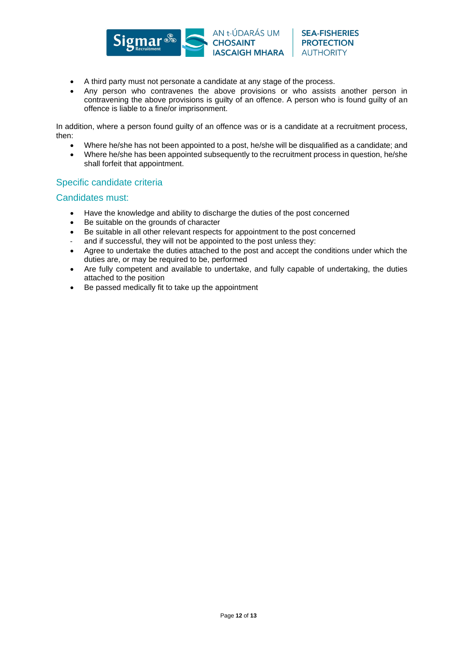

**SEA-FISHERIES** 

**PROTECTION** 

**AUTHORITY** 

• Any person who contravenes the above provisions or who assists another person in contravening the above provisions is guilty of an offence. A person who is found guilty of an offence is liable to a fine/or imprisonment.

In addition, where a person found guilty of an offence was or is a candidate at a recruitment process, then:

- Where he/she has not been appointed to a post, he/she will be disqualified as a candidate; and
- Where he/she has been appointed subsequently to the recruitment process in question, he/she shall forfeit that appointment.

# Specific candidate criteria

#### Candidates must:

- Have the knowledge and ability to discharge the duties of the post concerned
- Be suitable on the grounds of character
- Be suitable in all other relevant respects for appointment to the post concerned
- and if successful, they will not be appointed to the post unless they:
- Agree to undertake the duties attached to the post and accept the conditions under which the duties are, or may be required to be, performed
- Are fully competent and available to undertake, and fully capable of undertaking, the duties attached to the position
- Be passed medically fit to take up the appointment